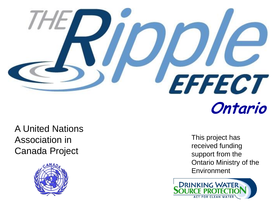

A United Nations Association in Canada Project



This project has received funding support from the Ontario Ministry of the **Environment** 

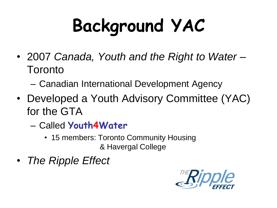# **Background YAC**

- 2007 *Canada, Youth and the Right to Water –* **Toronto** 
	- Canadian International Development Agency
- Developed a Youth Advisory Committee (YAC) for the GTA
	- Called **Youth4Water**
		- 15 members: Toronto Community Housing & Havergal College
- *The Ripple Effect*

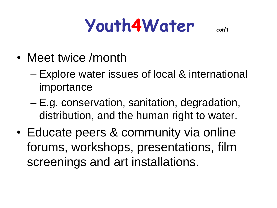#### **Youth4Water con't**

- Meet twice /month
	- Explore water issues of local & international importance
	- E.g. conservation, sanitation, degradation, distribution, and the human right to water.
- Educate peers & community via online forums, workshops, presentations, film screenings and art installations.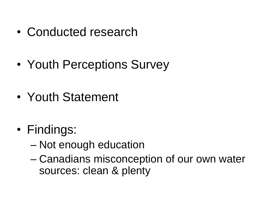- Conducted research
- Youth Perceptions Survey
- Youth Statement
- Findings:
	- Not enough education
	- Canadians misconception of our own water sources: clean & plenty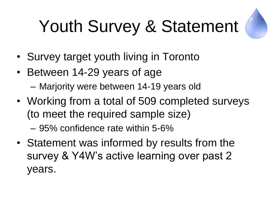## Youth Survey & Statement



- Survey target youth living in Toronto
- Between 14-29 years of age
	- Marjority were between 14-19 years old
- Working from a total of 509 completed surveys (to meet the required sample size)

– 95% confidence rate within 5-6%

• Statement was informed by results from the survey & Y4W's active learning over past 2 years.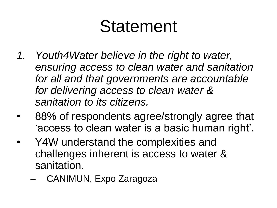#### Statement

- *1. Youth4Water believe in the right to water, ensuring access to clean water and sanitation for all and that governments are accountable for delivering access to clean water & sanitation to its citizens.*
- 88% of respondents agree/strongly agree that 'access to clean water is a basic human right'.
- Y4W understand the complexities and challenges inherent is access to water & sanitation.
	- CANIMUN, Expo Zaragoza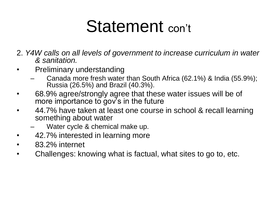#### Statement con't

2. *Y4W calls on all levels of government to increase curriculum in water & sanitation.*

- Preliminary understanding
	- Canada more fresh water than South Africa (62.1%) & India (55.9%); Russia (26.5%) and Brazil (40.3%).
- 68.9% agree/strongly agree that these water issues will be of more importance to gov's in the future
- 44.7% have taken at least one course in school & recall learning something about water
	- Water cycle & chemical make up.
- 42.7% interested in learning more
- 83.2% internet
- Challenges: knowing what is factual, what sites to go to, etc.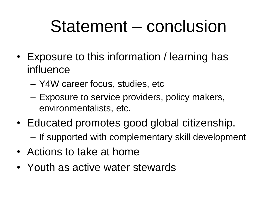#### Statement – conclusion

- Exposure to this information / learning has influence
	- Y4W career focus, studies, etc
	- Exposure to service providers, policy makers, environmentalists, etc.
- Educated promotes good global citizenship.
	- If supported with complementary skill development
- Actions to take at home
- Youth as active water stewards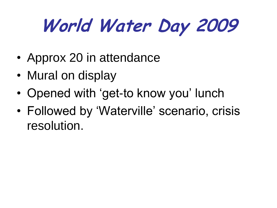## **World Water Day 2009**

- Approx 20 in attendance
- Mural on display
- Opened with 'get-to know you' lunch
- Followed by 'Waterville' scenario, crisis resolution.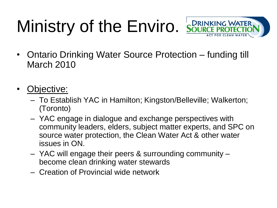### Ministry of the Enviro. SOURCE PROTECTIO



- Ontario Drinking Water Source Protection funding till March 2010
- Objective:
	- To Establish YAC in Hamilton; Kingston/Belleville; Walkerton; (Toronto)
	- YAC engage in dialogue and exchange perspectives with community leaders, elders, subject matter experts, and SPC on source water protection, the Clean Water Act & other water issues in ON.
	- YAC will engage their peers & surrounding community become clean drinking water stewards
	- Creation of Provincial wide network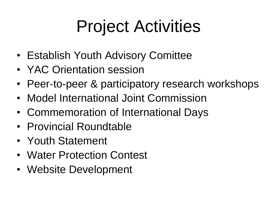### Project Activities

- Establish Youth Advisory Comittee
- YAC Orientation session
- Peer-to-peer & participatory research workshops
- Model International Joint Commission
- Commemoration of International Days
- Provincial Roundtable
- Youth Statement
- Water Protection Contest
- Website Development